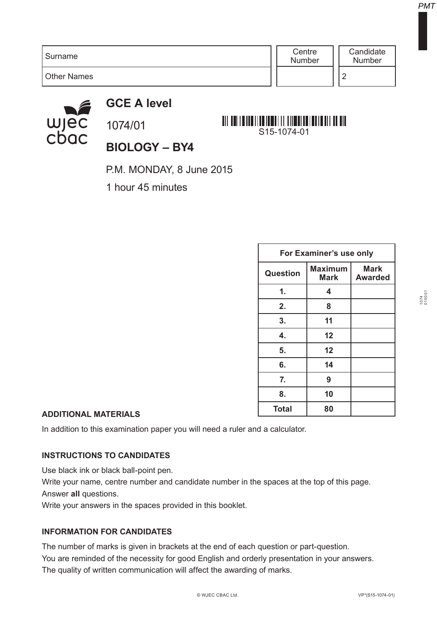Surname



Other Names

**GCE A level**

1074/01



S15-1074-01

**BIOLOGY – BY4**

P.M. MONDAY, 8 June 2015

1 hour 45 minutes

|                | For Examiner's use only       |                               |
|----------------|-------------------------------|-------------------------------|
| Question       | <b>Maximum</b><br><b>Mark</b> | <b>Mark</b><br><b>Awarded</b> |
| $\mathbf{1}$ . | 4                             |                               |
| 2.             | 8                             |                               |
| 3.             | 11                            |                               |
| 4.             | 12                            |                               |
| 5.             | 12                            |                               |
| 6.             | 14                            |                               |
| 7.             | 9                             |                               |
| 8.             | 10                            |                               |
| <b>Total</b>   | 80                            |                               |

### **ADDITIONAL MATERIALS**

In addition to this examination paper you will need a ruler and a calculator.

### **INSTRUCTIONS TO CANDIDATES**

Use black ink or black ball-point pen. Write your name, centre number and candidate number in the spaces at the top of this page. Answer **all** questions.

Write your answers in the spaces provided in this booklet.

### **INFORMATION FOR CANDIDATES**

The number of marks is given in brackets at the end of each question or part-question. You are reminded of the necessity for good English and orderly presentation in your answers. The quality of written communication will affect the awarding of marks.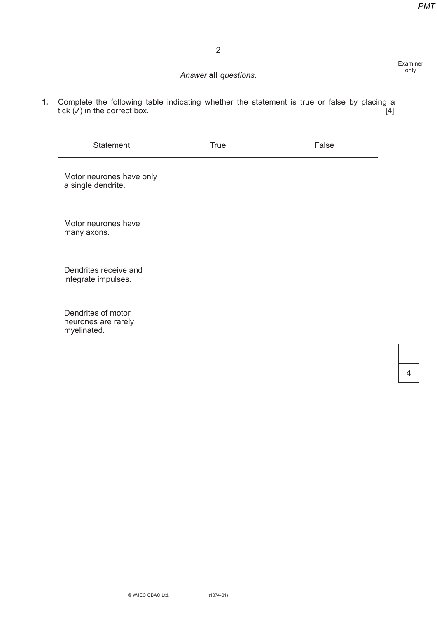Examiner only

2

#### *Answer* **all** *questions.*

**1.** Complete the following table indicating whether the statement is true or false by placing a tick  $({\checkmark})$  in the correct box. [4]

| <b>Statement</b>                                         | <b>True</b> | False |
|----------------------------------------------------------|-------------|-------|
| Motor neurones have only<br>a single dendrite.           |             |       |
| Motor neurones have<br>many axons.                       |             |       |
| Dendrites receive and<br>integrate impulses.             |             |       |
| Dendrites of motor<br>neurones are rarely<br>myelinated. |             |       |

4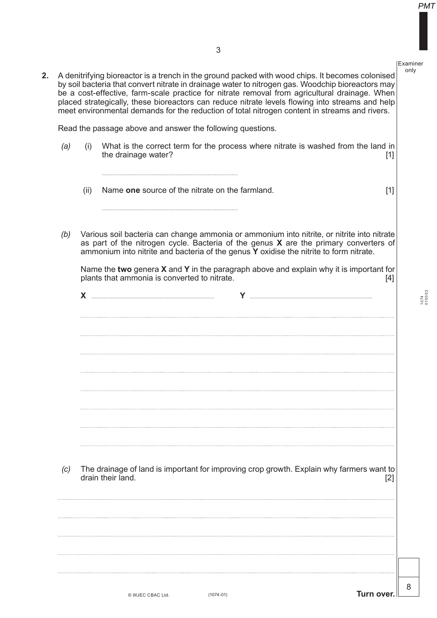Examiner only

| 2. A denitrifying bioreactor is a trench in the ground packed with wood chips. It becomes colonised |
|-----------------------------------------------------------------------------------------------------|
| by soil bacteria that convert nitrate in drainage water to nitrogen gas. Woodchip bioreactors may   |
| be a cost-effective, farm-scale practice for nitrate removal from agricultural drainage. When       |
| placed strategically, these bioreactors can reduce nitrate levels flowing into streams and help     |
| meet environmental demands for the reduction of total nitrogen content in streams and rivers.       |

Read the passage above and answer the following questions.

**..........................................................................................**

- *(a)* (i) What is the correct term for the process where nitrate is washed from the land in the drainage water? [1]
	- (ii) Name **one** source of the nitrate on the farmland. [1]

**..........................................................................................**

*(b)* Various soil bacteria can change ammonia or ammonium into nitrite, or nitrite into nitrate as part of the nitrogen cycle. Bacteria of the genus **X** are the primary converters of ammonium into nitrite and bacteria of the genus **Y** oxidise the nitrite to form nitrate.

 Name the **two** genera **X** and **Y** in the paragraph above and explain why it is important for plants that ammonia is converted to nitrate. **Example 20** and  $[4]$ 

|     | X<br>Υ                                                                                   |
|-----|------------------------------------------------------------------------------------------|
|     |                                                                                          |
|     |                                                                                          |
|     |                                                                                          |
|     |                                                                                          |
|     |                                                                                          |
|     |                                                                                          |
|     |                                                                                          |
|     |                                                                                          |
|     |                                                                                          |
|     |                                                                                          |
|     |                                                                                          |
|     |                                                                                          |
|     |                                                                                          |
|     | The drainage of land is important for improving crop growth. Explain why farmers want to |
| (c) | drain their land.                                                                        |
|     |                                                                                          |
|     |                                                                                          |
|     |                                                                                          |
|     |                                                                                          |
|     |                                                                                          |
|     |                                                                                          |

1074 010003

8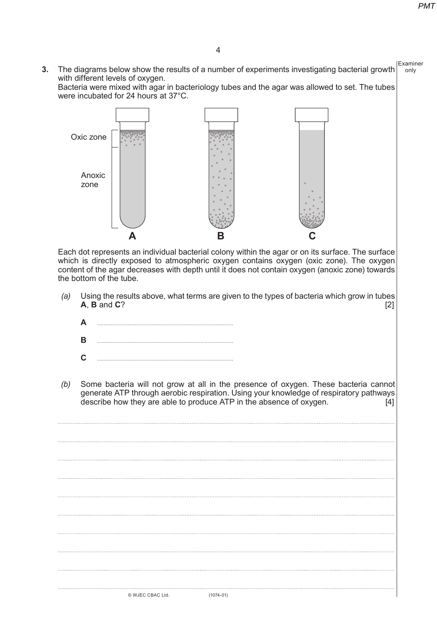Examiner only **3.** The diagrams below show the results of a number of experiments investigating bacterial growth with different levels of oxygen. Bacteria were mixed with agar in bacteriology tubes and the agar was allowed to set. The tubes were incubated for 24 hours at 37°C. Oxic zone



(1074-01) © WJEC CBAC Ltd.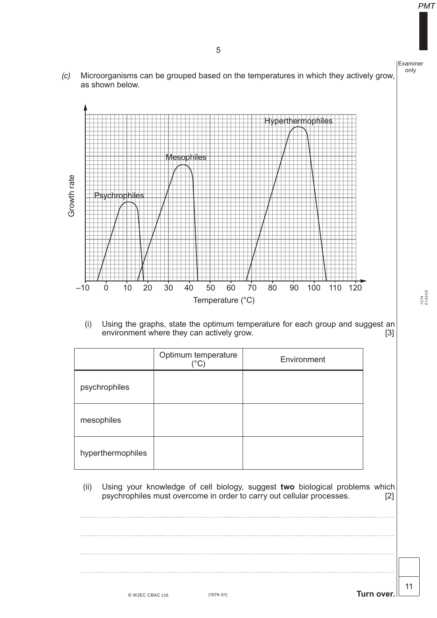Examiner





(i) Using the graphs, state the optimum temperature for each group and suggest an environment where they can actively grow. environment where they can actively grow.

|                   | Optimum temperature<br>$(^{\circ}C)$ | Environment |
|-------------------|--------------------------------------|-------------|
| psychrophiles     |                                      |             |
| mesophiles        |                                      |             |
| hyperthermophiles |                                      |             |

(ii) Using your knowledge of cell biology, suggest **two** biological problems which psychrophiles must overcome in order to carry out cellular processes.

11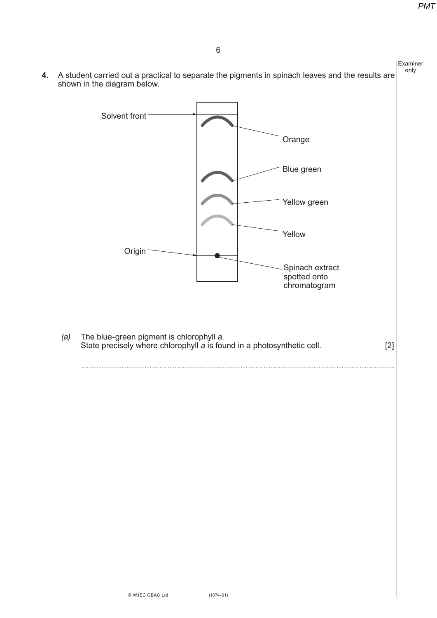

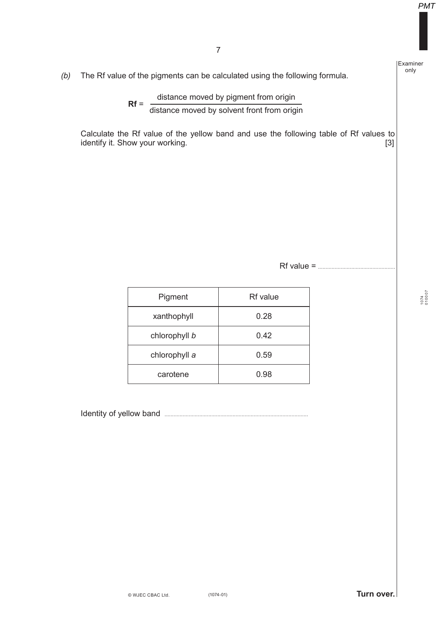Examiner only

1074 010007

*(b)* The Rf value of the pigments can be calculated using the following formula.

**Rf** = distance moved by pigment from origin distance moved by solvent front from origin

Calculate the Rf value of the yellow band and use the following table of Rf values to identify it. Show your working. identify it. Show your working.

Rf value = **...................................................**

| Pigment       | <b>Rf</b> value |
|---------------|-----------------|
| xanthophyll   | 0.28            |
| chlorophyll b | 0.42            |
| chlorophyll a | 0.59            |
| carotene      | 0.98            |

Identity of yellow band **...............................................................................................**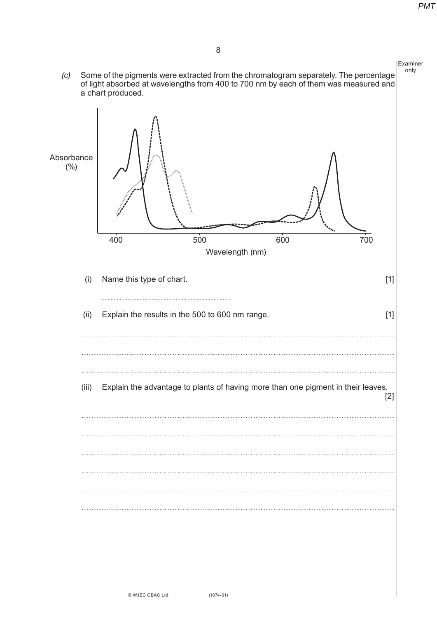Examiner

only *(c)* Some of the pigments were extracted from the chromatogram separately. The percentage of light absorbed at wavelengths from 400 to 700 nm by each of them was measured and a chart produced.

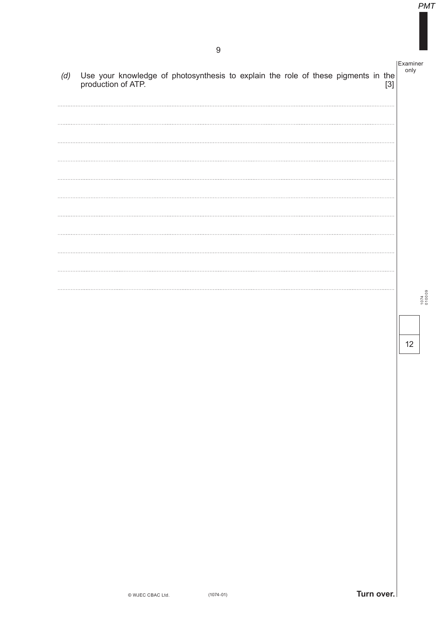9 Examiner only *(d)* Use your knowledge of photosynthesis to explain the role of these pigments in the production of ATP. [3] 

12

1074 010009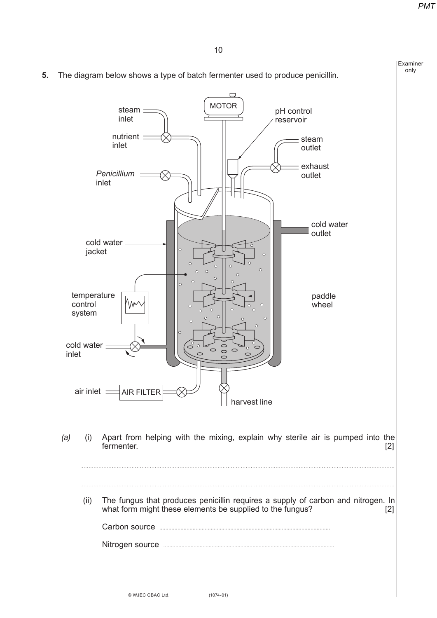Examiner only

**5.** The diagram below shows a type of batch fermenter used to produce penicillin.

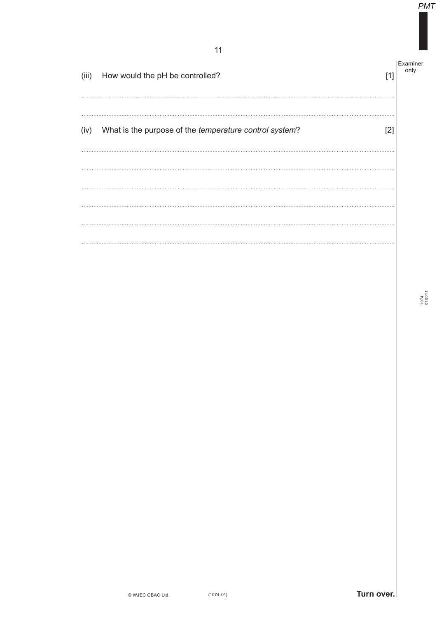| (iii) | How would the pH be controlled?<br>$[1]$                             | Examiner<br>only |
|-------|----------------------------------------------------------------------|------------------|
|       | (iv) What is the purpose of the temperature control system?<br>$[2]$ |                  |
|       |                                                                      |                  |
|       |                                                                      |                  |
|       |                                                                      |                  |
|       |                                                                      |                  |
|       |                                                                      |                  |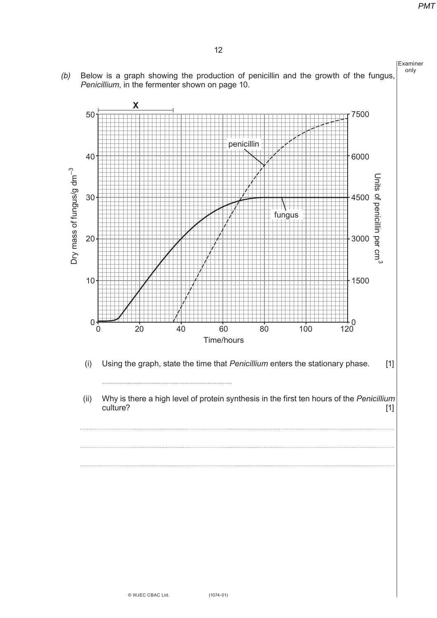Examiner



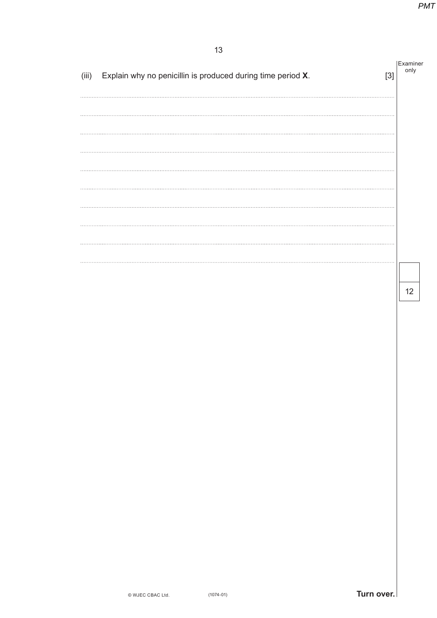© WJEC CBAC Ltd.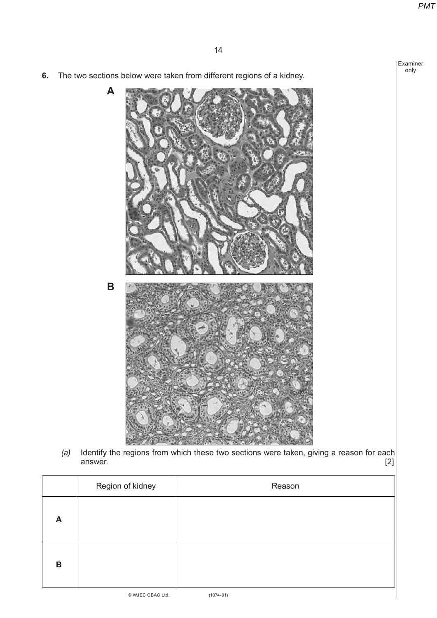Examiner only

- **6.** The two sections below were taken from different regions of a kidney.
	- **A B**
	- *(a)* Identify the regions from which these two sections were taken, giving a reason for each answer.  $[2]$

|   | Region of kidney | Reason |
|---|------------------|--------|
| A |                  |        |
| B |                  |        |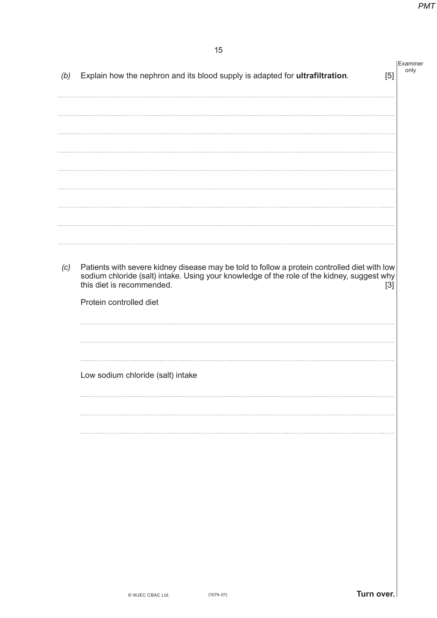| (b) | Explain how the nephron and its blood supply is adapted for ultrafiltration.<br>$[5]$                                                                                                                                            |  |
|-----|----------------------------------------------------------------------------------------------------------------------------------------------------------------------------------------------------------------------------------|--|
|     |                                                                                                                                                                                                                                  |  |
|     |                                                                                                                                                                                                                                  |  |
|     |                                                                                                                                                                                                                                  |  |
|     |                                                                                                                                                                                                                                  |  |
|     |                                                                                                                                                                                                                                  |  |
|     |                                                                                                                                                                                                                                  |  |
|     |                                                                                                                                                                                                                                  |  |
| (c) | Patients with severe kidney disease may be told to follow a protein controlled diet with low<br>sodium chloride (salt) intake. Using your knowledge of the role of the kidney, suggest why<br>this diet is recommended.<br>$[3]$ |  |
|     | Protein controlled diet                                                                                                                                                                                                          |  |
|     |                                                                                                                                                                                                                                  |  |
|     |                                                                                                                                                                                                                                  |  |
|     | Low sodium chloride (salt) intake                                                                                                                                                                                                |  |
|     |                                                                                                                                                                                                                                  |  |
|     |                                                                                                                                                                                                                                  |  |
|     |                                                                                                                                                                                                                                  |  |
|     |                                                                                                                                                                                                                                  |  |
|     |                                                                                                                                                                                                                                  |  |
|     |                                                                                                                                                                                                                                  |  |
|     |                                                                                                                                                                                                                                  |  |
|     |                                                                                                                                                                                                                                  |  |
|     |                                                                                                                                                                                                                                  |  |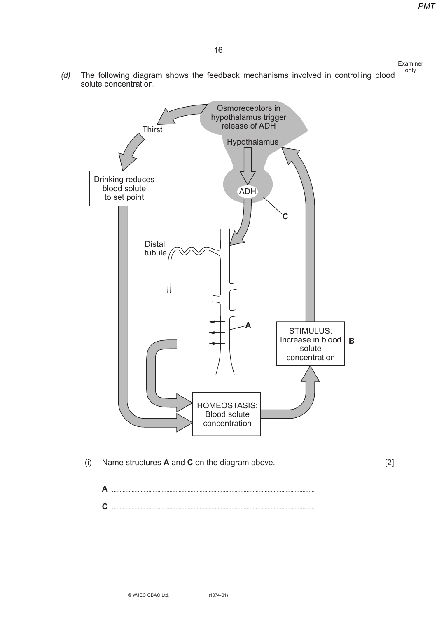Examiner only *(d)* The following diagram shows the feedback mechanisms involved in controlling blood solute concentration. **Thirst** Distal tubule Osmoreceptors in hypothalamus trigger release of ADH Hypothalamus Drinking reduces blood solute to set point STIMULUS: Increase in blood solute concentration HOMEOSTASIS: Blood solute concentration ADH **C A B** (i) Name structures **A** and **C** on the diagram above. [2] **A ...................................................................................................................................... C ......................................................................................................................................**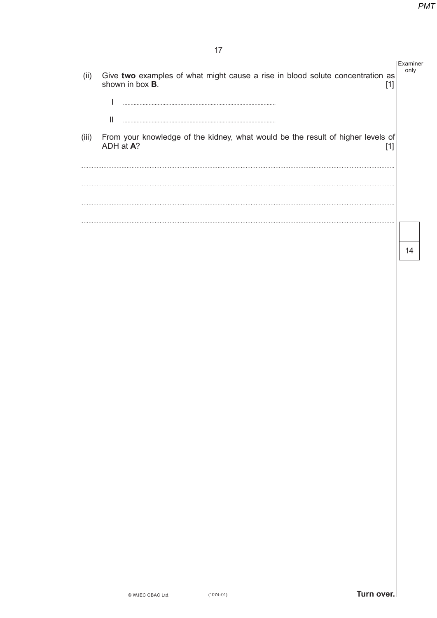| (ii)  | Give two examples of what might cause a rise in blood solute concentration as<br>shown in box <b>B</b> . | lExamineı<br>only |
|-------|----------------------------------------------------------------------------------------------------------|-------------------|
| (iii) | From your knowledge of the kidney, what would be the result of higher levels of<br>ADH at A?             |                   |
|       |                                                                                                          |                   |
|       |                                                                                                          |                   |

14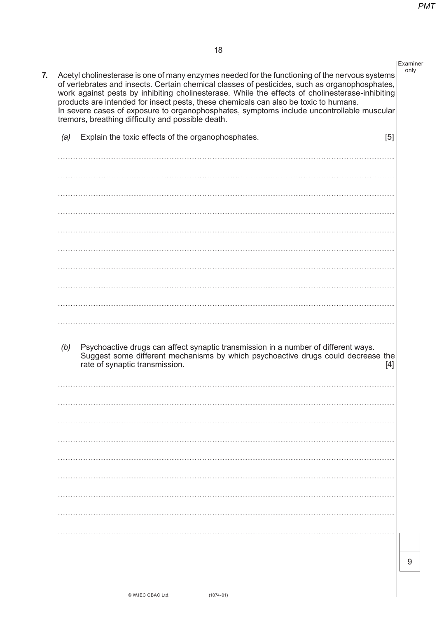|     | Acetyl cholinesterase is one of many enzymes needed for the functioning of the nervous systems<br>of vertebrates and insects. Certain chemical classes of pesticides, such as organophosphates,<br>work against pests by inhibiting cholinesterase. While the effects of cholinesterase-inhibiting<br>products are intended for insect pests, these chemicals can also be toxic to humans.<br>In severe cases of exposure to organophosphates, symptoms include uncontrollable muscular<br>tremors, breathing difficulty and possible death. | Examiner |
|-----|----------------------------------------------------------------------------------------------------------------------------------------------------------------------------------------------------------------------------------------------------------------------------------------------------------------------------------------------------------------------------------------------------------------------------------------------------------------------------------------------------------------------------------------------|----------|
| (a) | Explain the toxic effects of the organophosphates.                                                                                                                                                                                                                                                                                                                                                                                                                                                                                           | [5]      |
|     |                                                                                                                                                                                                                                                                                                                                                                                                                                                                                                                                              |          |
|     |                                                                                                                                                                                                                                                                                                                                                                                                                                                                                                                                              |          |
|     |                                                                                                                                                                                                                                                                                                                                                                                                                                                                                                                                              |          |
|     |                                                                                                                                                                                                                                                                                                                                                                                                                                                                                                                                              |          |
|     |                                                                                                                                                                                                                                                                                                                                                                                                                                                                                                                                              |          |
|     |                                                                                                                                                                                                                                                                                                                                                                                                                                                                                                                                              |          |
|     | Psychoactive drugs can affect synaptic transmission in a number of different ways.<br>Suggest some different mechanisms by which psychoactive drugs could decrease the<br>rate of synaptic transmission.                                                                                                                                                                                                                                                                                                                                     | [4]      |
|     |                                                                                                                                                                                                                                                                                                                                                                                                                                                                                                                                              |          |
|     |                                                                                                                                                                                                                                                                                                                                                                                                                                                                                                                                              |          |
| (b) |                                                                                                                                                                                                                                                                                                                                                                                                                                                                                                                                              |          |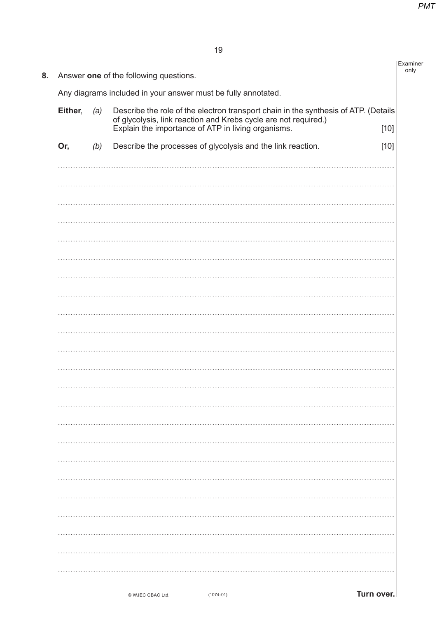|         |     | Answer one of the following questions.                                                                                                                                                                                 |
|---------|-----|------------------------------------------------------------------------------------------------------------------------------------------------------------------------------------------------------------------------|
|         |     | Any diagrams included in your answer must be fully annotated.                                                                                                                                                          |
| Either, | (a) | Describe the role of the electron transport chain in the synthesis of ATP. (Details<br>of glycolysis, link reaction and Krebs cycle are not required.)<br>Explain the importance of ATP in living organisms.<br>$[10]$ |
| Or,     | (b) | Describe the processes of glycolysis and the link reaction.<br>$[10]$                                                                                                                                                  |
|         |     |                                                                                                                                                                                                                        |
|         |     |                                                                                                                                                                                                                        |
|         |     |                                                                                                                                                                                                                        |
|         |     |                                                                                                                                                                                                                        |
|         |     |                                                                                                                                                                                                                        |
|         |     |                                                                                                                                                                                                                        |
|         |     |                                                                                                                                                                                                                        |
|         |     |                                                                                                                                                                                                                        |
|         |     |                                                                                                                                                                                                                        |
|         |     |                                                                                                                                                                                                                        |
|         |     |                                                                                                                                                                                                                        |
|         |     |                                                                                                                                                                                                                        |
|         |     |                                                                                                                                                                                                                        |
|         |     |                                                                                                                                                                                                                        |
|         |     |                                                                                                                                                                                                                        |
|         |     |                                                                                                                                                                                                                        |
|         |     |                                                                                                                                                                                                                        |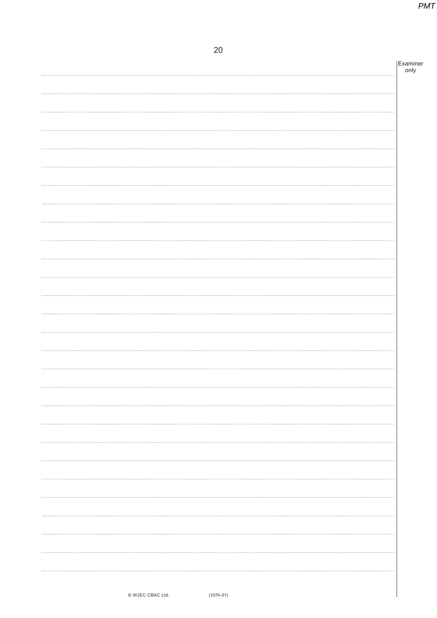| 20                                |                  |
|-----------------------------------|------------------|
|                                   | Examiner<br>only |
| .                                 |                  |
|                                   |                  |
|                                   |                  |
|                                   |                  |
|                                   |                  |
|                                   |                  |
|                                   |                  |
|                                   |                  |
|                                   |                  |
|                                   |                  |
|                                   |                  |
|                                   |                  |
|                                   |                  |
|                                   |                  |
|                                   |                  |
|                                   |                  |
|                                   |                  |
|                                   |                  |
|                                   |                  |
|                                   |                  |
|                                   |                  |
|                                   |                  |
|                                   |                  |
|                                   |                  |
|                                   |                  |
|                                   |                  |
|                                   |                  |
|                                   |                  |
|                                   |                  |
|                                   |                  |
|                                   |                  |
|                                   |                  |
| © WJEC CBAC Ltd.<br>$(1074 - 01)$ |                  |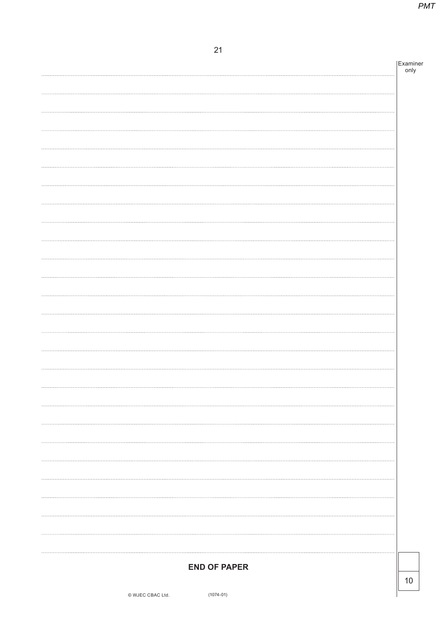|  |  | PM |
|--|--|----|
|  |  |    |
|  |  |    |
|  |  |    |

| 21                  |                  |
|---------------------|------------------|
|                     | Examiner<br>only |
|                     |                  |
|                     |                  |
|                     |                  |
|                     |                  |
|                     |                  |
|                     |                  |
|                     |                  |
|                     |                  |
|                     |                  |
|                     |                  |
|                     |                  |
|                     |                  |
|                     |                  |
|                     |                  |
|                     |                  |
|                     |                  |
|                     |                  |
|                     |                  |
|                     |                  |
|                     |                  |
|                     |                  |
|                     |                  |
|                     |                  |
|                     |                  |
|                     |                  |
|                     |                  |
|                     |                  |
|                     |                  |
|                     |                  |
|                     |                  |
|                     |                  |
|                     |                  |
|                     |                  |
| <b>END OF PAPER</b> |                  |

(1074-01)

© WJEC CBAC Ltd.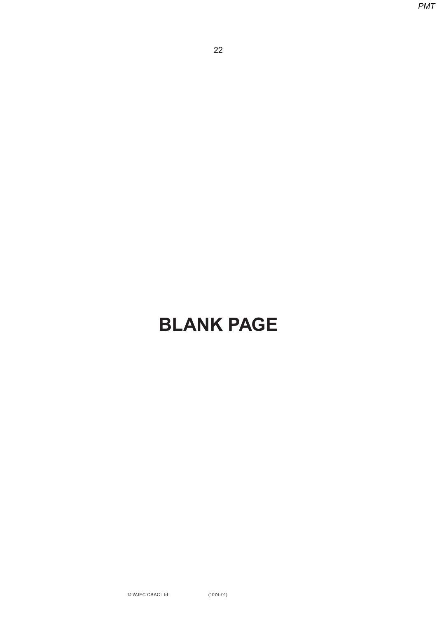# **BLANK PAGE**